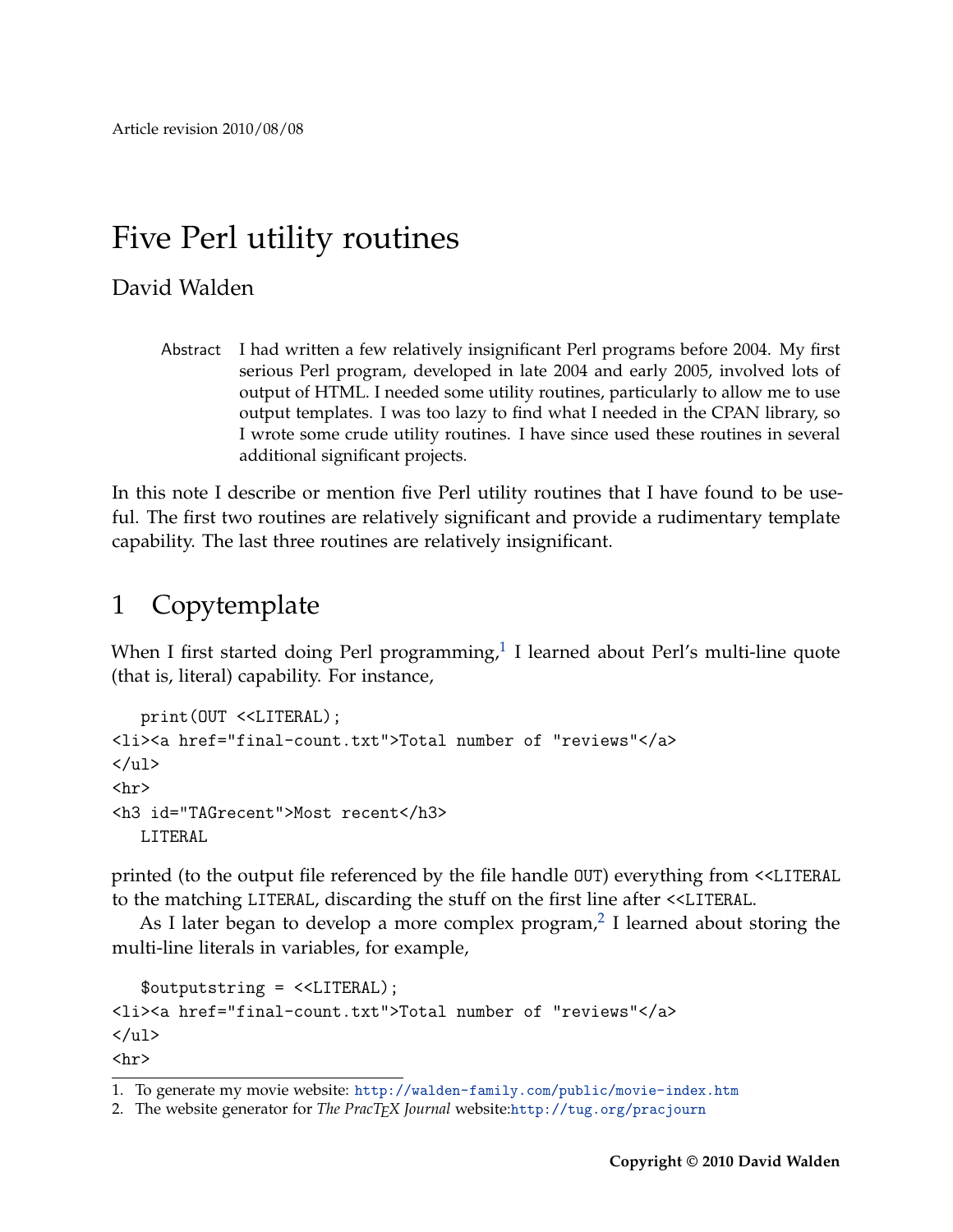# Five Perl utility routines

#### David Walden

Abstract I had written a few relatively insignificant Perl programs before 2004. My first serious Perl program, developed in late 2004 and early 2005, involved lots of output of HTML. I needed some utility routines, particularly to allow me to use output templates. I was too lazy to find what I needed in the CPAN library, so I wrote some crude utility routines. I have since used these routines in several additional significant projects.

In this note I describe or mention five Perl utility routines that I have found to be useful. The first two routines are relatively significant and provide a rudimentary template capability. The last three routines are relatively insignificant.

## 1 Copytemplate

When I first started doing Perl programming, $1$  I learned about Perl's multi-line quote (that is, literal) capability. For instance,

```
print(OUT <<LITERAL);
<li><a href="final-count.txt">Total number of "reviews"</a>
\langle/ul>
<hr>
<h3 id="TAGrecent">Most recent</h3>
   LITERAL
```
printed (to the output file referenced by the file handle OUT) everything from <<LITERAL to the matching LITERAL, discarding the stuff on the first line after <<LITERAL.

As I later began to develop a more complex program, $^2$  $^2$  I learned about storing the multi-line literals in variables, for example,

```
$outputstring = <<LITERAL);
<li><a href="final-count.txt">Total number of "reviews"</a>
\langle/ul>
<hr>
```
<span id="page-0-0"></span><sup>1.</sup> To generate my movie website: <http://walden-family.com/public/movie-index.htm>

<span id="page-0-1"></span><sup>2.</sup> The website generator for *The PracTEX Journal* website:<http://tug.org/pracjourn>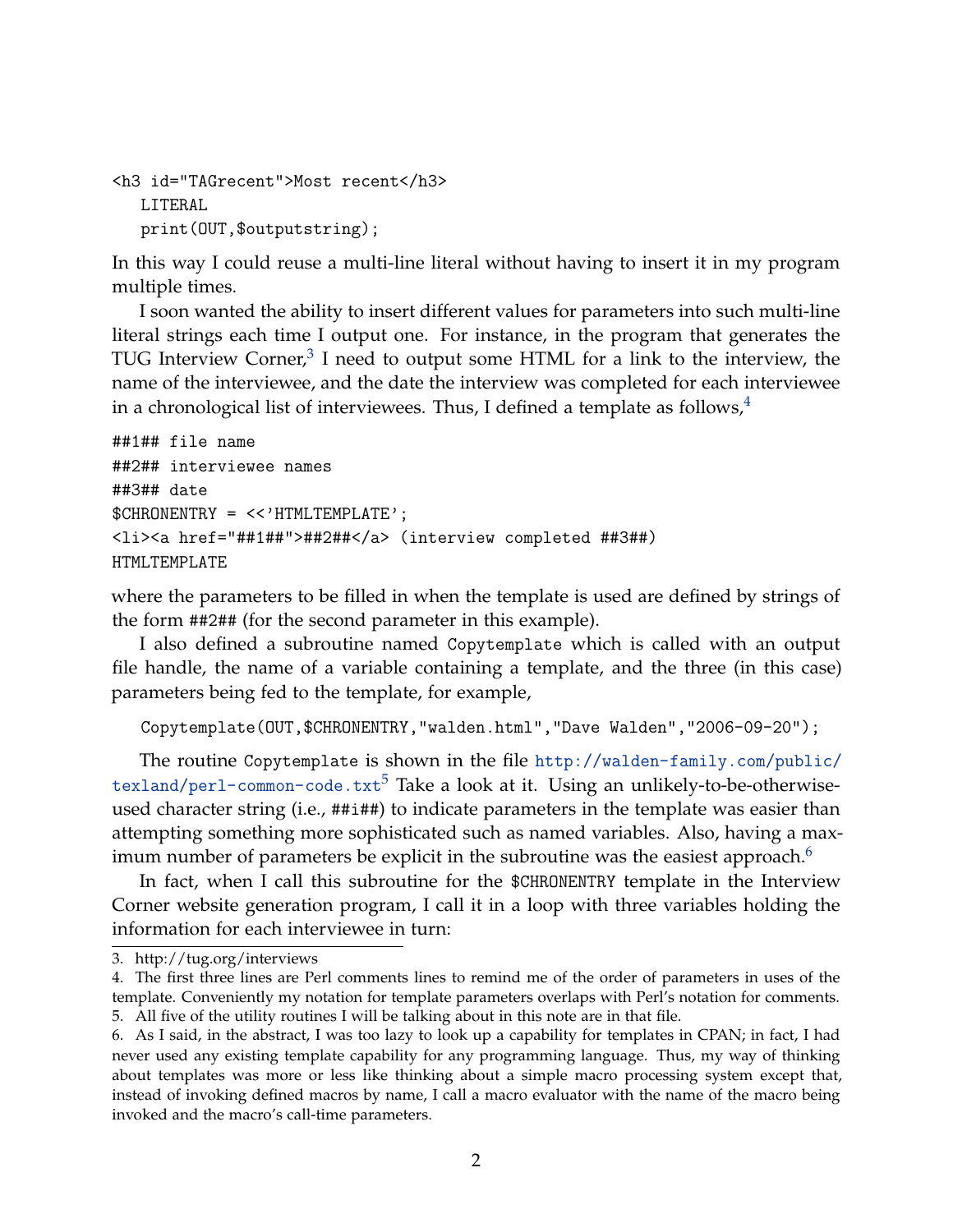```
<h3 id="TAGrecent">Most recent</h3>
   LITERAL
  print(OUT,$outputstring);
```
In this way I could reuse a multi-line literal without having to insert it in my program multiple times.

I soon wanted the ability to insert different values for parameters into such multi-line literal strings each time I output one. For instance, in the program that generates the TUG Interview Corner, $^3$  $^3$  I need to output some HTML for a link to the interview, the name of the interviewee, and the date the interview was completed for each interviewee in a chronological list of interviewees. Thus, I defined a template as follows, $4\overline{ }$  $4\overline{ }$ 

```
##1## file name
##2## interviewee names
##3## date
$CHRONENTRY = <<'HTMLTEMPLATE';
<li><a href="##1##">##2##</a> (interview completed ##3##)
HTMLTEMPLATE
```
where the parameters to be filled in when the template is used are defined by strings of the form ##2## (for the second parameter in this example).

I also defined a subroutine named Copytemplate which is called with an output file handle, the name of a variable containing a template, and the three (in this case) parameters being fed to the template, for example,

```
Copytemplate(OUT,$CHRONENTRY,"walden.html","Dave Walden","2006-09-20");
```
The routine Copytemplate is shown in the file [http://walden-family.com/public/](http://walden-family.com/public/texland/perl-common-code.txt) [texland/perl-common-code.txt](http://walden-family.com/public/texland/perl-common-code.txt)<sup>[5](#page-1-2)</sup> Take a look at it. Using an unlikely-to-be-otherwiseused character string (i.e., ##i##) to indicate parameters in the template was easier than attempting something more sophisticated such as named variables. Also, having a max-imum number of parameters be explicit in the subroutine was the easiest approach.<sup>[6](#page-1-3)</sup>

In fact, when I call this subroutine for the \$CHRONENTRY template in the Interview Corner website generation program, I call it in a loop with three variables holding the information for each interviewee in turn:

<span id="page-1-0"></span><sup>3.</sup> http://tug.org/interviews

<span id="page-1-1"></span><sup>4.</sup> The first three lines are Perl comments lines to remind me of the order of parameters in uses of the template. Conveniently my notation for template parameters overlaps with Perl's notation for comments. 5. All five of the utility routines I will be talking about in this note are in that file.

<span id="page-1-3"></span><span id="page-1-2"></span><sup>6.</sup> As I said, in the abstract, I was too lazy to look up a capability for templates in CPAN; in fact, I had never used any existing template capability for any programming language. Thus, my way of thinking about templates was more or less like thinking about a simple macro processing system except that, instead of invoking defined macros by name, I call a macro evaluator with the name of the macro being invoked and the macro's call-time parameters.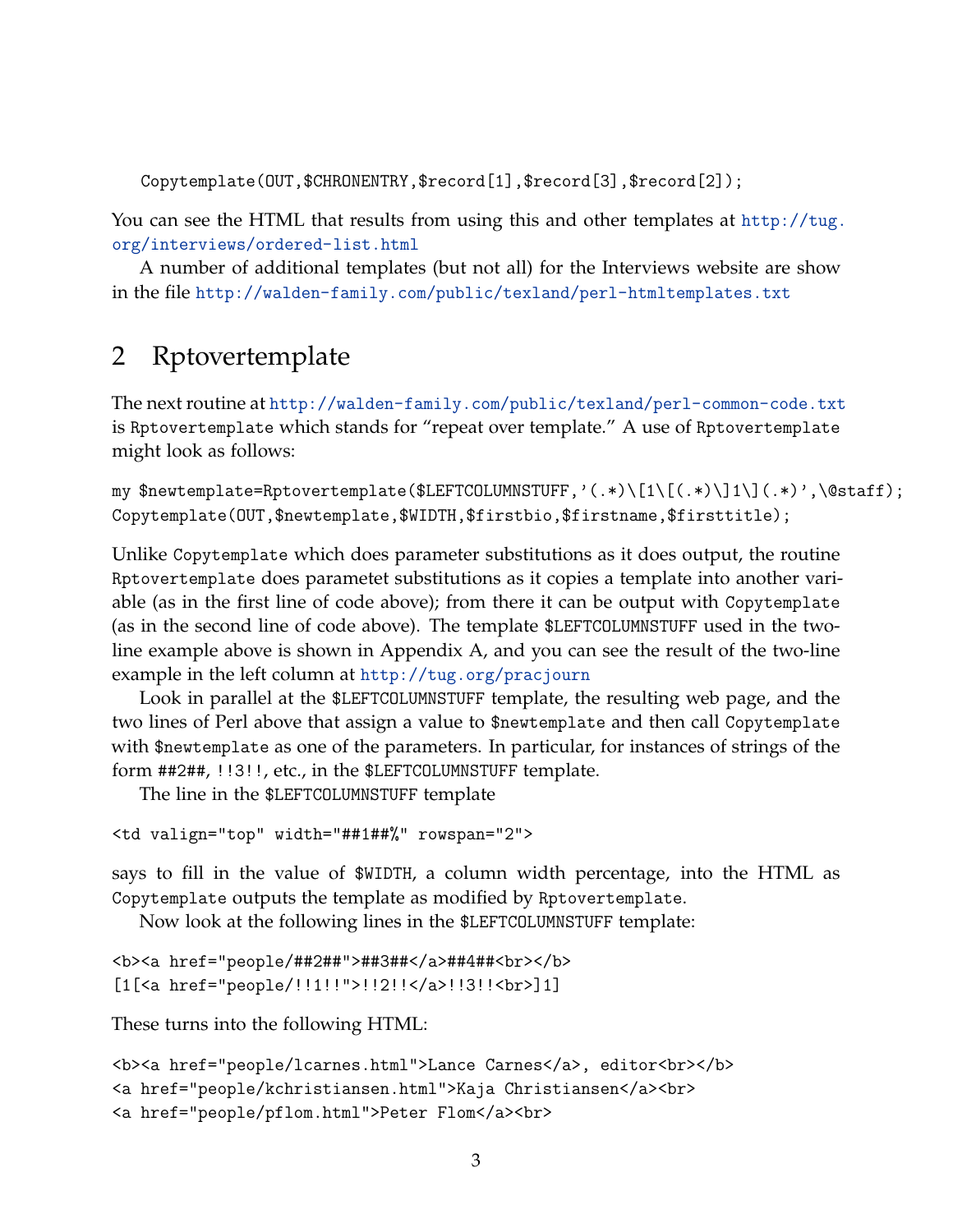Copytemplate(OUT,\$CHRONENTRY,\$record[1],\$record[3],\$record[2]);

You can see the HTML that results from using this and other templates at [http://tug.](http://tug.org/interviews/ordered-list.html) [org/interviews/ordered-list.html](http://tug.org/interviews/ordered-list.html)

A number of additional templates (but not all) for the Interviews website are show in the file <http://walden-family.com/public/texland/perl-htmltemplates.txt>

## 2 Rptovertemplate

The next routine at <http://walden-family.com/public/texland/perl-common-code.txt> is Rptovertemplate which stands for "repeat over template." A use of Rptovertemplate might look as follows:

my \$newtemplate=Rptovertemplate(\$LEFTCOLUMNSTUFF,'(.\*)\[1\[(.\*)\]1\](.\*)',\@staff); Copytemplate(OUT,\$newtemplate,\$WIDTH,\$firstbio,\$firstname,\$firsttitle);

Unlike Copytemplate which does parameter substitutions as it does output, the routine Rptovertemplate does parametet substitutions as it copies a template into another variable (as in the first line of code above); from there it can be output with Copytemplate (as in the second line of code above). The template \$LEFTCOLUMNSTUFF used in the twoline example above is shown in Appendix A, and you can see the result of the two-line example in the left column at <http://tug.org/pracjourn>

Look in parallel at the \$LEFTCOLUMNSTUFF template, the resulting web page, and the two lines of Perl above that assign a value to \$newtemplate and then call Copytemplate with \$newtemplate as one of the parameters. In particular, for instances of strings of the form ##2##, !!3!!, etc., in the \$LEFTCOLUMNSTUFF template.

The line in the \$LEFTCOLUMNSTUFF template

```
<td valign="top" width="##1##%" rowspan="2">
```
says to fill in the value of \$WIDTH, a column width percentage, into the HTML as Copytemplate outputs the template as modified by Rptovertemplate.

Now look at the following lines in the \$LEFTCOLUMNSTUFF template:

```
<b><a href="people/##2##">##3##</a>##4##<br></b>
[1[<a href="people/!!1!!">!!2!!</a>!!3!!<br>]1]
```
These turns into the following HTML:

```
<b><a href="people/lcarnes.html">Lance Carnes</a>, editor<br></b>
<a href="people/kchristiansen.html">Kaja Christiansen</a><br>
<a href="people/pflom.html">Peter Flom</a><br>
```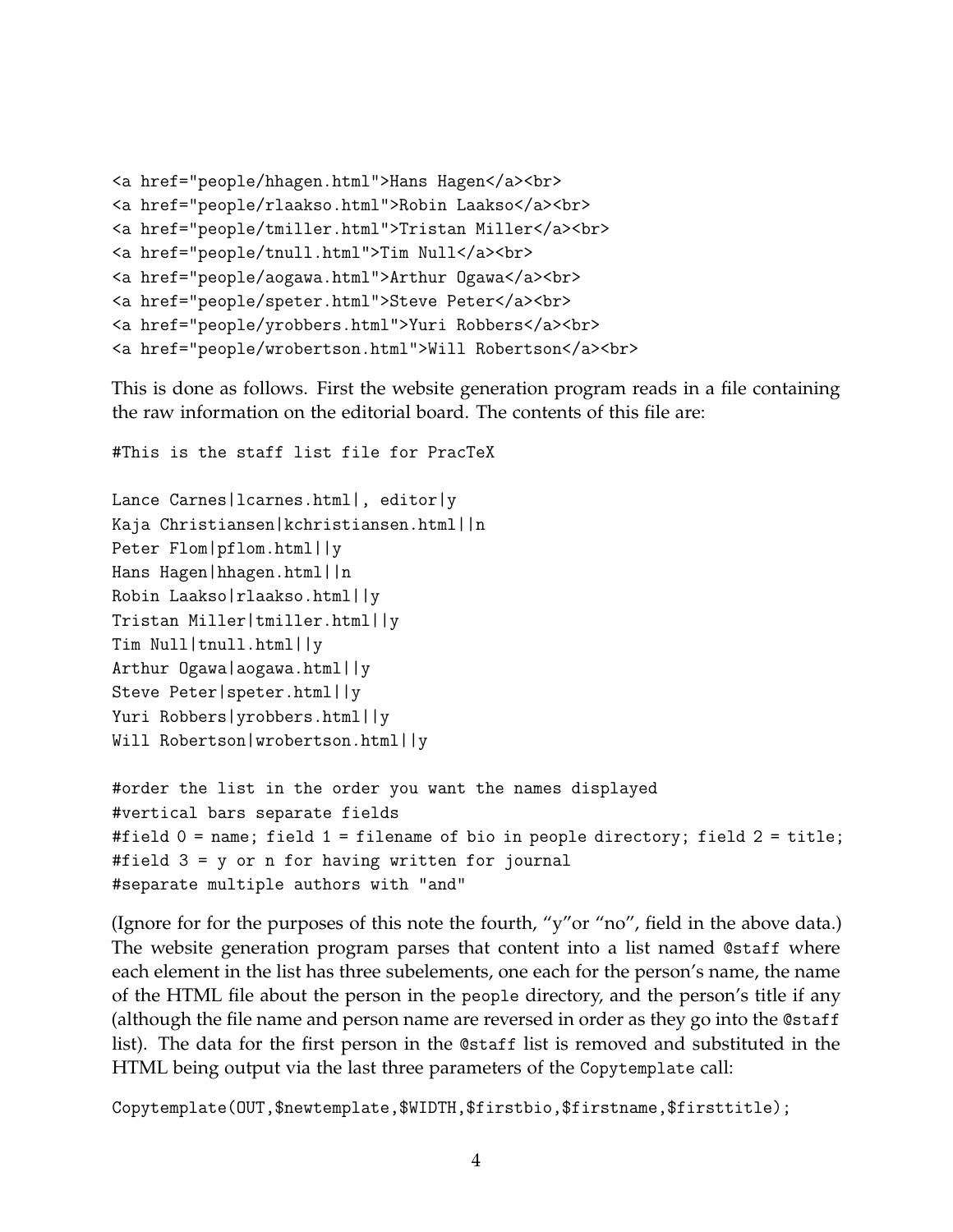```
<a href="people/hhagen.html">Hans Hagen</a><br>
<a href="people/rlaakso.html">Robin Laakso</a><br>
<a href="people/tmiller.html">Tristan Miller</a><br>
<a href="people/tnull.html">Tim Null</a><br>
<a href="people/aogawa.html">Arthur Ogawa</a><br>
<a href="people/speter.html">Steve Peter</a><br>
<a href="people/yrobbers.html">Yuri Robbers</a><br>
<a href="people/wrobertson.html">Will Robertson</a><br>
```
This is done as follows. First the website generation program reads in a file containing the raw information on the editorial board. The contents of this file are:

```
#This is the staff list file for PracTeX
Lance Carnes|lcarnes.html|, editor|y
Kaja Christiansen|kchristiansen.html||n
Peter Flom|pflom.html||y
Hans Hagen|hhagen.html||n
Robin Laakso|rlaakso.html||y
Tristan Miller|tmiller.html||y
Tim Null|tnull.html||y
Arthur Ogawa|aogawa.html||y
Steve Peter|speter.html||y
Yuri Robbers|yrobbers.html||y
Will Robertson|wrobertson.html||y
#order the list in the order you want the names displayed
#vertical bars separate fields
```

```
#field 0 = name; field 1 = filename of bio in people directory; field 2 = title;
#field 3 = y or n for having written for journal
#separate multiple authors with "and"
```
(Ignore for for the purposes of this note the fourth, "y"or "no", field in the above data.) The website generation program parses that content into a list named @staff where each element in the list has three subelements, one each for the person's name, the name of the HTML file about the person in the people directory, and the person's title if any (although the file name and person name are reversed in order as they go into the @staff list). The data for the first person in the @staff list is removed and substituted in the HTML being output via the last three parameters of the Copytemplate call:

Copytemplate(OUT,\$newtemplate,\$WIDTH,\$firstbio,\$firstname,\$firsttitle);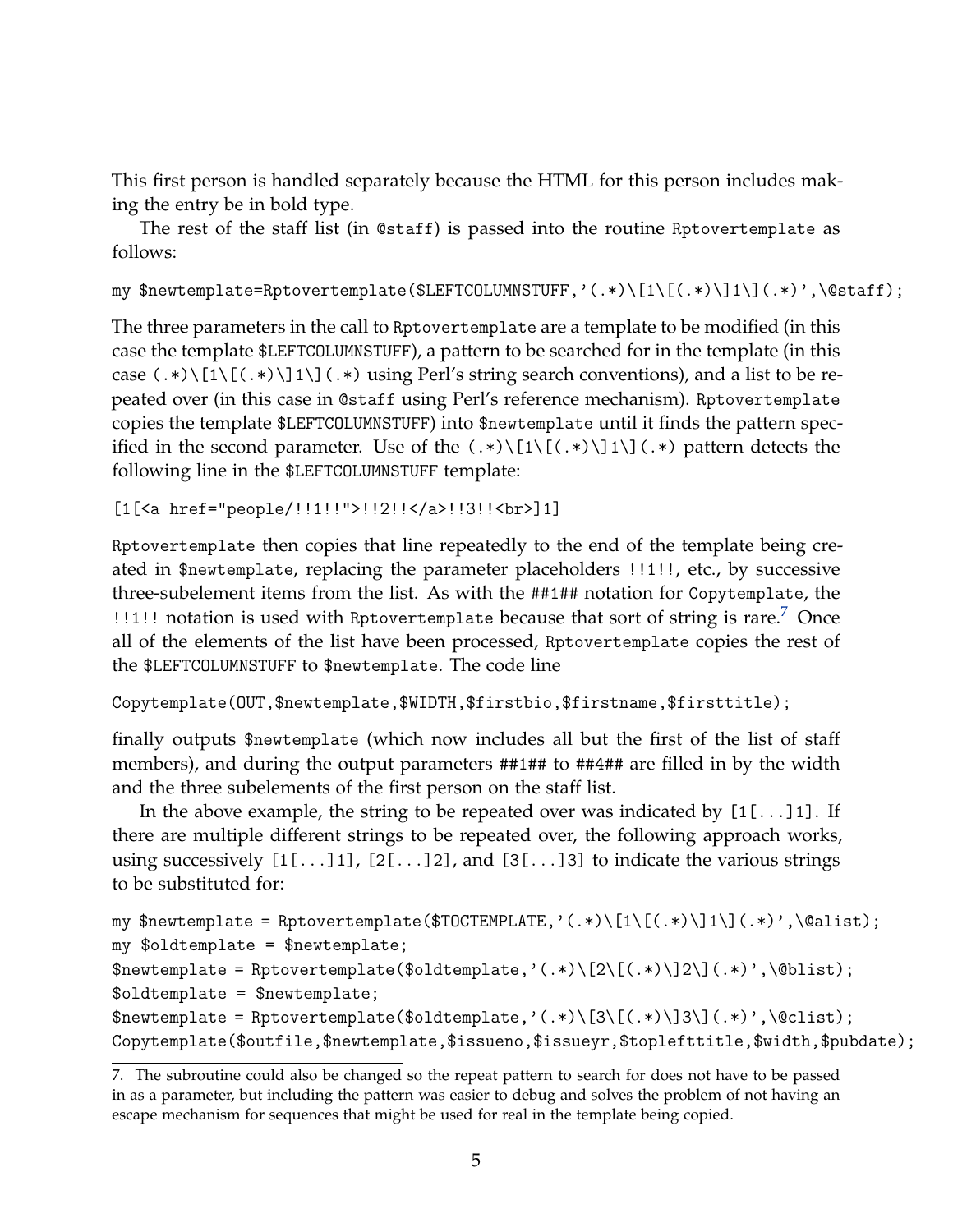This first person is handled separately because the HTML for this person includes making the entry be in bold type.

The rest of the staff list (in @staff) is passed into the routine Rptovertemplate as follows:

my \$newtemplate=Rptovertemplate(\$LEFTCOLUMNSTUFF,'(.\*)\[1\[(.\*)\]1\](.\*)',\@staff);

The three parameters in the call to Rptovertemplate are a template to be modified (in this case the template \$LEFTCOLUMNSTUFF), a pattern to be searched for in the template (in this case  $(\cdot*)\[1\,[\,(\cdot*)\]\]1\[)$   $(\cdot*)$  using Perl's string search conventions), and a list to be repeated over (in this case in @staff using Perl's reference mechanism). Rptovertemplate copies the template \$LEFTCOLUMNSTUFF) into \$newtemplate until it finds the pattern specified in the second parameter. Use of the  $(.*)\[1\[(.*)\]1\](.*)$  pattern detects the following line in the \$LEFTCOLUMNSTUFF template:

```
[1[<a href="people/!!1!!">!!2!!</a>!!3!!<br>]1]
```
Rptovertemplate then copies that line repeatedly to the end of the template being created in \$newtemplate, replacing the parameter placeholders !!1!!, etc., by successive three-subelement items from the list. As with the ##1## notation for Copytemplate, the !!1!! notation is used with Rptovertemplate because that sort of string is rare.<sup>[7](#page-4-0)</sup> Once all of the elements of the list have been processed, Rptovertemplate copies the rest of the \$LEFTCOLUMNSTUFF to \$newtemplate. The code line

Copytemplate(OUT,\$newtemplate,\$WIDTH,\$firstbio,\$firstname,\$firsttitle);

finally outputs \$newtemplate (which now includes all but the first of the list of staff members), and during the output parameters ##1## to ##4## are filled in by the width and the three subelements of the first person on the staff list.

In the above example, the string to be repeated over was indicated by [1[...]1]. If there are multiple different strings to be repeated over, the following approach works, using successively  $[1[\ldots]1]$ ,  $[2[\ldots]2]$ , and  $[3[\ldots]3]$  to indicate the various strings to be substituted for:

```
my $newtemplate = Rptovertemplate($TOCTEMPLATE,'(.*)\[1\[(.*)\]1\](.*)',\@alist);
my $oldtemplate = $newtemplate;
$newtemplate = Rptovertemplate($oldtemplate,'(.*)\[2\[(.*)\]2\](.*)',\@blist);
$oldtemplate = $newtemplate;
$newtemplate = Rptovertemplate($oldtemplate,'(.*)\[3\[(.*)\]3\](.*)',\@clist);
Copytemplate($outfile,$newtemplate,$issueno,$issueyr,$toplefttitle,$width,$pubdate);
```
<span id="page-4-0"></span><sup>7.</sup> The subroutine could also be changed so the repeat pattern to search for does not have to be passed in as a parameter, but including the pattern was easier to debug and solves the problem of not having an escape mechanism for sequences that might be used for real in the template being copied.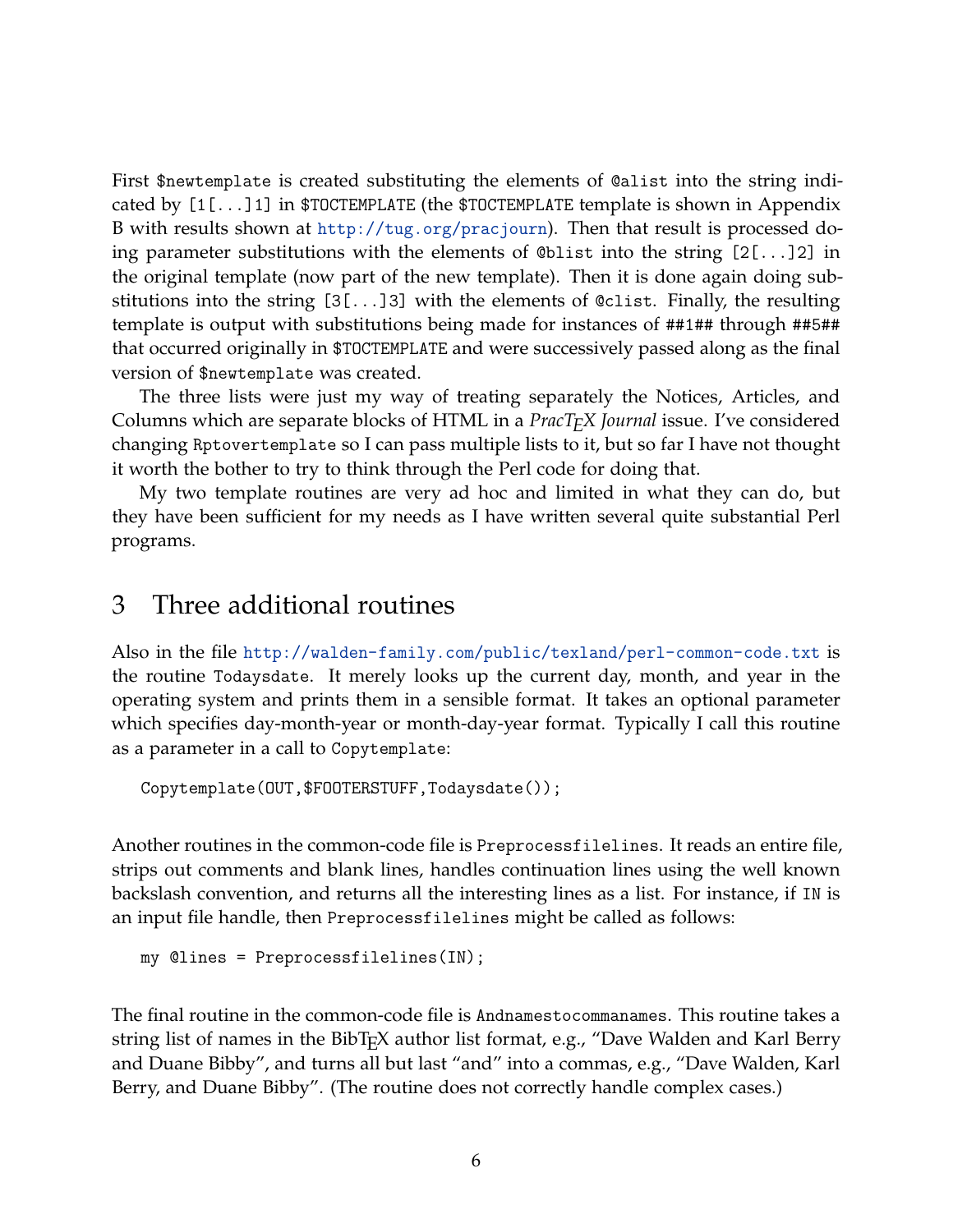First \$newtemplate is created substituting the elements of @alist into the string indicated by [1[...]1] in \$TOCTEMPLATE (the \$TOCTEMPLATE template is shown in Appendix B with results shown at <http://tug.org/pracjourn>). Then that result is processed doing parameter substitutions with the elements of @blist into the string [2[...]2] in the original template (now part of the new template). Then it is done again doing substitutions into the string  $[3[\ldots]3]$  with the elements of @clist. Finally, the resulting template is output with substitutions being made for instances of ##1## through ##5## that occurred originally in \$TOCTEMPLATE and were successively passed along as the final version of \$newtemplate was created.

The three lists were just my way of treating separately the Notices, Articles, and Columns which are separate blocks of HTML in a *PracTEX Journal* issue. I've considered changing Rptovertemplate so I can pass multiple lists to it, but so far I have not thought it worth the bother to try to think through the Perl code for doing that.

My two template routines are very ad hoc and limited in what they can do, but they have been sufficient for my needs as I have written several quite substantial Perl programs.

#### 3 Three additional routines

Also in the file <http://walden-family.com/public/texland/perl-common-code.txt> is the routine Todaysdate. It merely looks up the current day, month, and year in the operating system and prints them in a sensible format. It takes an optional parameter which specifies day-month-year or month-day-year format. Typically I call this routine as a parameter in a call to Copytemplate:

```
Copytemplate(OUT,$FOOTERSTUFF,Todaysdate());
```
Another routines in the common-code file is Preprocessfilelines. It reads an entire file, strips out comments and blank lines, handles continuation lines using the well known backslash convention, and returns all the interesting lines as a list. For instance, if IN is an input file handle, then Preprocessfilelines might be called as follows:

```
my @lines = Preprocessfilelines(IN);
```
The final routine in the common-code file is Andnamestocommanames. This routine takes a string list of names in the BibT<sub>E</sub>X author list format, e.g., "Dave Walden and Karl Berry and Duane Bibby", and turns all but last "and" into a commas, e.g., "Dave Walden, Karl Berry, and Duane Bibby". (The routine does not correctly handle complex cases.)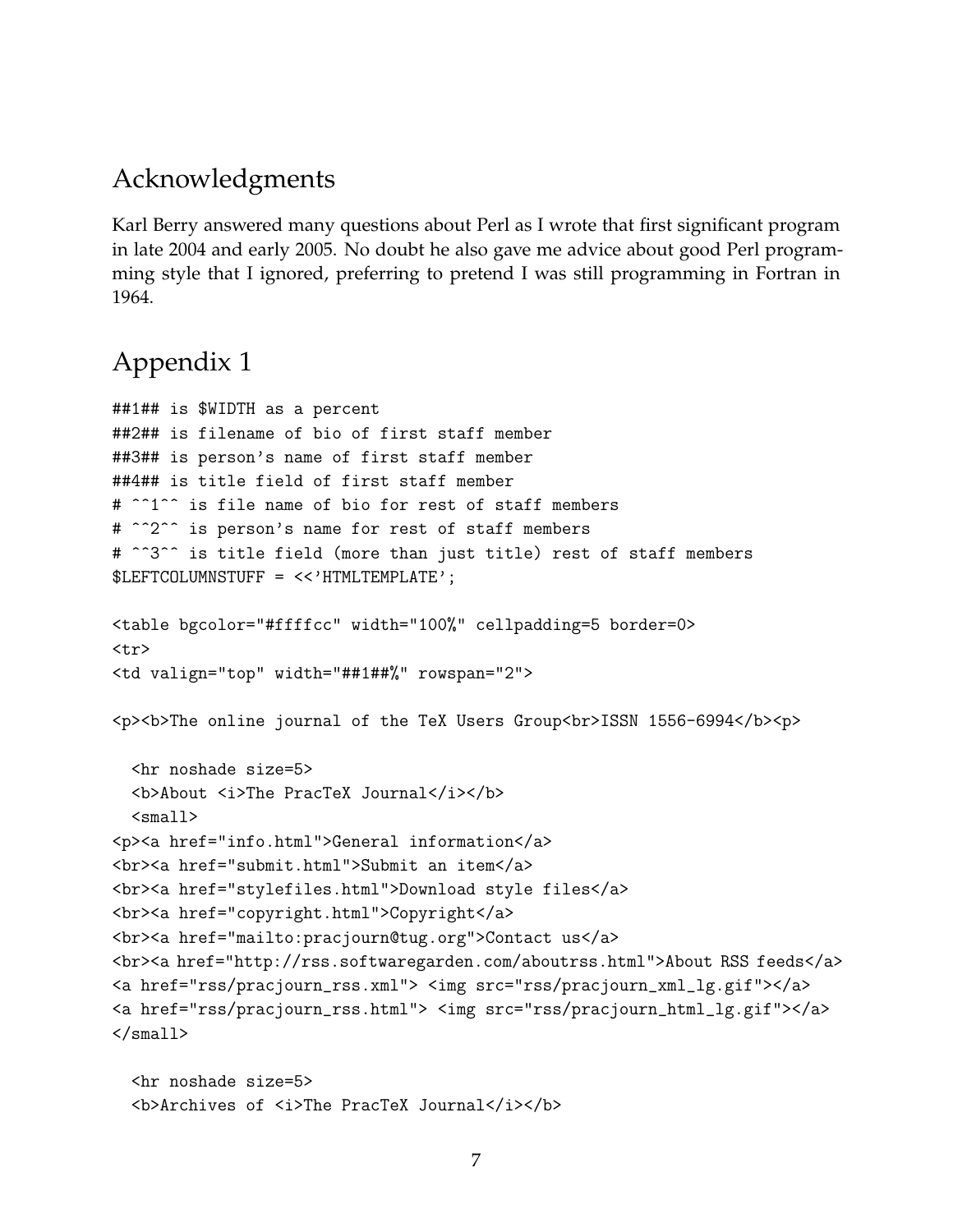### Acknowledgments

Karl Berry answered many questions about Perl as I wrote that first significant program in late 2004 and early 2005. No doubt he also gave me advice about good Perl programming style that I ignored, preferring to pretend I was still programming in Fortran in 1964.

## Appendix 1

```
##1## is $WIDTH as a percent
##2## is filename of bio of first staff member
##3## is person's name of first staff member
##4## is title field of first staff member
# ^^1^^ is file name of bio for rest of staff members
# ^^2^^ is person's name for rest of staff members
# ^^3^^ is title field (more than just title) rest of staff members
$LEFTCOLUMNSTUFF = <<'HTMLTEMPLATE';
<table bgcolor="#ffffcc" width="100%" cellpadding=5 border=0>
<tr>
<td valign="top" width="##1##%" rowspan="2">
p>sh p> The online journal of the TeX Users Group<br>ISSN 1556-6994</b>>
  <hr noshade size=5>
  <b>About <i>The PracTeX Journal</i></b>
  <small><p><a href="info.html">General information</a>
<br><a href="submit.html">Submit an item</a>
<br><a href="stylefiles.html">Download style files</a>
<br><<a href="copyright.html">Copyright</a>
<br><a href="mailto:pracjourn@tug.org">Contact us</a>
<br>>br><a href="http://rss.softwaregarden.com/aboutrss.html">About RSS feeds</a></
<a href="rss/pracjourn_rss.xml"> <img src="rss/pracjourn_xml_lg.gif"></a>
<a href="rss/pracjourn_rss.html"> <img src="rss/pracjourn_html_lg.gif"></a>
\langle/small>
```

```
<hr noshade size=5>
<b>Archives of <i>The PracTeX Journal</i></b>
```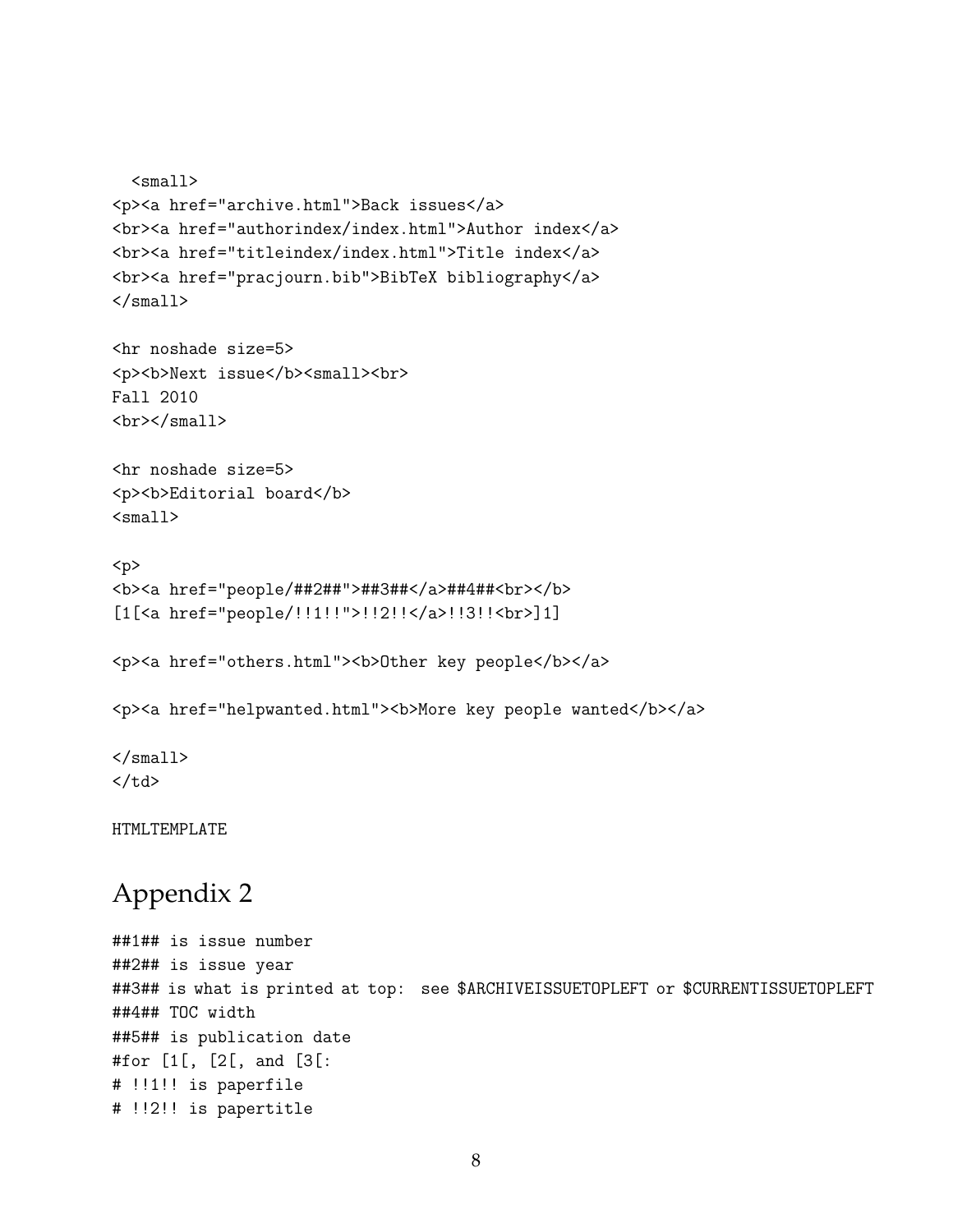```
<small><p><a href="archive.html">Back issues</a>
<br><a href="authorindex/index.html">Author index</a>
<br/>khr><a href="titleindex/index.html">Title index</a>
<br><<a href="pracjourn.bib">BibTeX bibliography</a>
\langle/small\rangle
```

```
<hr noshade size=5>
<p><b>Next issue</b><small><br>
Fall 2010
\braket{br}\times/\text{small}
```

```
<hr noshade size=5>
<p><b>Editorial board</b>
<small>
```

```
<p>
<b><a href="people/##2##">##3##</a>##4##<br></b>
[1[<a href="people/!!1!!">!!2!!</a>!!3!!<br>]1]
```
<p><a href="others.html"><b>Other key people</b></a>

```
<p><a href="helpwanted.html"><b>More key people wanted</b></a>
```
 $\langle$ /small $\rangle$  $\langle t \rangle$ 

HTMLTEMPLATE

## Appendix 2

```
##1## is issue number
##2## is issue year
##3## is what is printed at top: see $ARCHIVEISSUETOPLEFT or $CURRENTISSUETOPLEFT
##4## TOC width
##5## is publication date
#for [1[, [2[, and [3[:
# !!1!! is paperfile
# !!2!! is papertitle
```